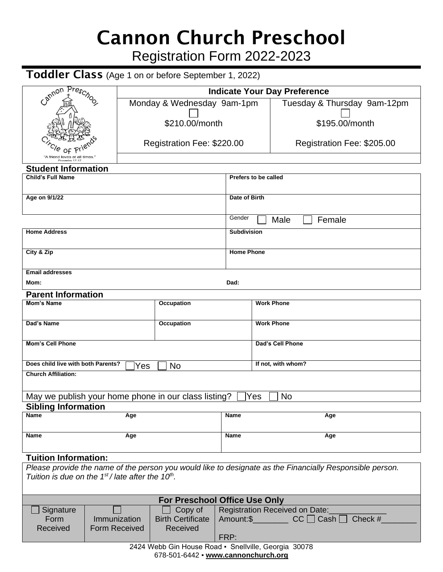# Cannon Church Preschool

Registration Form 2022-2023

## Toddler Class (Age 1 on or before September 1, 2022)

| Cannon Preschool                                                                            |                                  | <b>Indicate Your Day Preference</b>                                                                                             |                          |                         |                                                                                                          |  |  |  |
|---------------------------------------------------------------------------------------------|----------------------------------|---------------------------------------------------------------------------------------------------------------------------------|--------------------------|-------------------------|----------------------------------------------------------------------------------------------------------|--|--|--|
|                                                                                             |                                  | Monday & Wednesday 9am-1pm                                                                                                      |                          |                         | Tuesday & Thursday 9am-12pm                                                                              |  |  |  |
|                                                                                             |                                  |                                                                                                                                 |                          |                         | \$195.00/month                                                                                           |  |  |  |
|                                                                                             |                                  | \$210.00/month                                                                                                                  |                          |                         |                                                                                                          |  |  |  |
|                                                                                             |                                  | Registration Fee: \$220.00                                                                                                      |                          |                         | Registration Fee: \$205.00                                                                               |  |  |  |
| "A friend loves at all times.                                                               |                                  |                                                                                                                                 |                          |                         |                                                                                                          |  |  |  |
| <b>Student Information</b>                                                                  |                                  |                                                                                                                                 |                          |                         |                                                                                                          |  |  |  |
| <b>Child's Full Name</b>                                                                    |                                  |                                                                                                                                 | Prefers to be called     |                         |                                                                                                          |  |  |  |
| Age on 9/1/22                                                                               |                                  |                                                                                                                                 | Date of Birth            |                         |                                                                                                          |  |  |  |
|                                                                                             |                                  |                                                                                                                                 |                          |                         |                                                                                                          |  |  |  |
|                                                                                             |                                  |                                                                                                                                 | Gender<br>Female<br>Male |                         |                                                                                                          |  |  |  |
| <b>Home Address</b>                                                                         |                                  |                                                                                                                                 | <b>Subdivision</b>       |                         |                                                                                                          |  |  |  |
|                                                                                             |                                  |                                                                                                                                 | <b>Home Phone</b>        |                         |                                                                                                          |  |  |  |
| City & Zip                                                                                  |                                  |                                                                                                                                 |                          |                         |                                                                                                          |  |  |  |
| <b>Email addresses</b>                                                                      |                                  |                                                                                                                                 |                          |                         |                                                                                                          |  |  |  |
| Mom:                                                                                        |                                  |                                                                                                                                 | Dad:                     |                         |                                                                                                          |  |  |  |
| <b>Parent Information</b>                                                                   |                                  |                                                                                                                                 |                          |                         |                                                                                                          |  |  |  |
| <b>Mom's Name</b>                                                                           |                                  | Occupation                                                                                                                      |                          | <b>Work Phone</b>       |                                                                                                          |  |  |  |
| Dad's Name                                                                                  |                                  | Occupation                                                                                                                      |                          | <b>Work Phone</b>       |                                                                                                          |  |  |  |
|                                                                                             |                                  |                                                                                                                                 |                          |                         |                                                                                                          |  |  |  |
| <b>Mom's Cell Phone</b>                                                                     |                                  |                                                                                                                                 |                          | <b>Dad's Cell Phone</b> |                                                                                                          |  |  |  |
|                                                                                             |                                  |                                                                                                                                 | If not, with whom?       |                         |                                                                                                          |  |  |  |
| Does child live with both Parents?                                                          | Yes                              | <b>No</b>                                                                                                                       |                          |                         |                                                                                                          |  |  |  |
| <b>Church Affiliation:</b>                                                                  |                                  |                                                                                                                                 |                          |                         |                                                                                                          |  |  |  |
| May we publish your home phone in our class listing?<br>Yes<br>No                           |                                  |                                                                                                                                 |                          |                         |                                                                                                          |  |  |  |
| <b>Sibling Information</b>                                                                  |                                  |                                                                                                                                 |                          |                         |                                                                                                          |  |  |  |
| Name                                                                                        | Age                              |                                                                                                                                 | Name<br>Age              |                         |                                                                                                          |  |  |  |
| Name                                                                                        | Age                              |                                                                                                                                 | Name                     |                         | Age                                                                                                      |  |  |  |
|                                                                                             |                                  |                                                                                                                                 |                          |                         |                                                                                                          |  |  |  |
| <b>Tuition Information:</b>                                                                 |                                  |                                                                                                                                 |                          |                         |                                                                                                          |  |  |  |
|                                                                                             |                                  |                                                                                                                                 |                          |                         | Please provide the name of the person you would like to designate as the Financially Responsible person. |  |  |  |
| Tuition is due on the $1st$ / late after the $10th$ .                                       |                                  |                                                                                                                                 |                          |                         |                                                                                                          |  |  |  |
|                                                                                             |                                  |                                                                                                                                 |                          |                         |                                                                                                          |  |  |  |
| For Preschool Office Use Only                                                               |                                  |                                                                                                                                 |                          |                         |                                                                                                          |  |  |  |
| Signature<br>Form                                                                           | Immunization                     | Copy of<br>Registration Received on Date:<br><b>Birth Certificate</b><br>Amount: $\frac{C}{D}$ CC $\Box$ Cash $\Box$<br>Check # |                          |                         |                                                                                                          |  |  |  |
| Received                                                                                    | <b>Form Received</b><br>Received |                                                                                                                                 |                          |                         |                                                                                                          |  |  |  |
| FRP:                                                                                        |                                  |                                                                                                                                 |                          |                         |                                                                                                          |  |  |  |
| 2424 Webb Gin House Road · Snellville, Georgia 30078<br>678-501-6442 • www.cannonchurch.org |                                  |                                                                                                                                 |                          |                         |                                                                                                          |  |  |  |